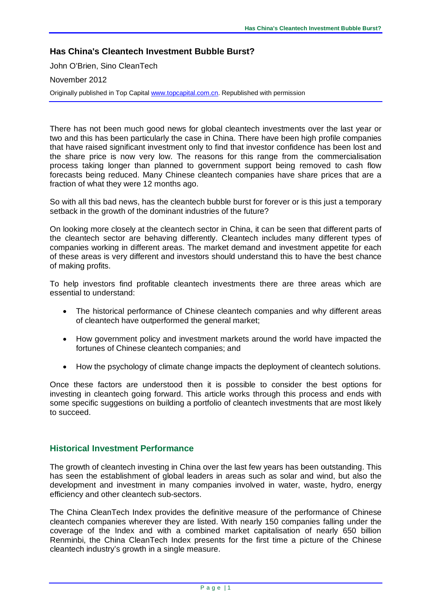#### **Has China's Cleantech Investment Bubble Burst?**

John O'Brien, Sino CleanTech

November 2012

Originally published in Top Capita[l www.topcapital.com.cn.](http://www.topcapital.com.cn/) Republished with permission

There has not been much good news for global cleantech investments over the last year or two and this has been particularly the case in China. There have been high profile companies that have raised significant investment only to find that investor confidence has been lost and the share price is now very low. The reasons for this range from the commercialisation process taking longer than planned to government support being removed to cash flow forecasts being reduced. Many Chinese cleantech companies have share prices that are a fraction of what they were 12 months ago.

So with all this bad news, has the cleantech bubble burst for forever or is this just a temporary setback in the growth of the dominant industries of the future?

On looking more closely at the cleantech sector in China, it can be seen that different parts of the cleantech sector are behaving differently. Cleantech includes many different types of companies working in different areas. The market demand and investment appetite for each of these areas is very different and investors should understand this to have the best chance of making profits.

To help investors find profitable cleantech investments there are three areas which are essential to understand:

- The historical performance of Chinese cleantech companies and why different areas of cleantech have outperformed the general market;
- How government policy and investment markets around the world have impacted the fortunes of Chinese cleantech companies; and
- How the psychology of climate change impacts the deployment of cleantech solutions.

Once these factors are understood then it is possible to consider the best options for investing in cleantech going forward. This article works through this process and ends with some specific suggestions on building a portfolio of cleantech investments that are most likely to succeed.

#### **Historical Investment Performance**

The growth of cleantech investing in China over the last few years has been outstanding. This has seen the establishment of global leaders in areas such as solar and wind, but also the development and investment in many companies involved in water, waste, hydro, energy efficiency and other cleantech sub-sectors.

The China CleanTech Index provides the definitive measure of the performance of Chinese cleantech companies wherever they are listed. With nearly 150 companies falling under the coverage of the Index and with a combined market capitalisation of nearly 650 billion Renminbi, the China CleanTech Index presents for the first time a picture of the Chinese cleantech industry's growth in a single measure.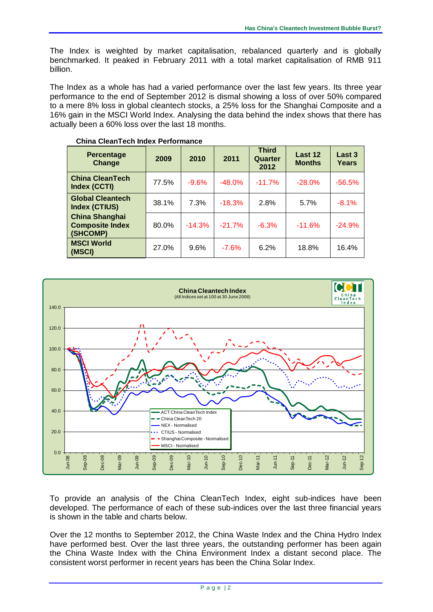The Index is weighted by market capitalisation, rebalanced quarterly and is globally benchmarked. It peaked in February 2011 with a total market capitalisation of RMB 911 billion.

The Index as a whole has had a varied performance over the last few years. Its three year performance to the end of September 2012 is dismal showing a loss of over 50% compared to a mere 8% loss in global cleantech stocks, a 25% loss for the Shanghai Composite and a 16% gain in the MSCI World Index. Analysing the data behind the index shows that there has actually been a 60% loss over the last 18 months.

| <b>Percentage</b><br>Change                                 | 2009  | 2010     | 2011     | <b>Third</b><br>Quarter<br>2012 | Last 12<br><b>Months</b> | Last 3<br>Years |
|-------------------------------------------------------------|-------|----------|----------|---------------------------------|--------------------------|-----------------|
| <b>China CleanTech</b><br>Index (CCTI)                      | 77.5% | $-9.6%$  | $-48.0%$ | $-11.7%$                        | $-28.0%$                 | $-56.5%$        |
| <b>Global Cleantech</b><br><b>Index (CTIUS)</b>             | 38.1% | 7.3%     | $-18.3%$ | 2.8%                            | 5.7%                     | $-8.1%$         |
| <b>China Shanghai</b><br><b>Composite Index</b><br>(SHCOMP) | 80.0% | $-14.3%$ | $-21.7%$ | $-6.3%$                         | $-11.6%$                 | $-24.9%$        |
| <b>MSCI World</b><br>(MSCI)                                 | 27.0% | 9.6%     | $-7.6%$  | 6.2%                            | 18.8%                    | 16.4%           |

#### **China CleanTech Index Performance**



To provide an analysis of the China CleanTech Index, eight sub-indices have been developed. The performance of each of these sub-indices over the last three financial years is shown in the table and charts below.

Over the 12 months to September 2012, the China Waste Index and the China Hydro Index have performed best. Over the last three years, the outstanding performer has been again the China Waste Index with the China Environment Index a distant second place. The consistent worst performer in recent years has been the China Solar Index.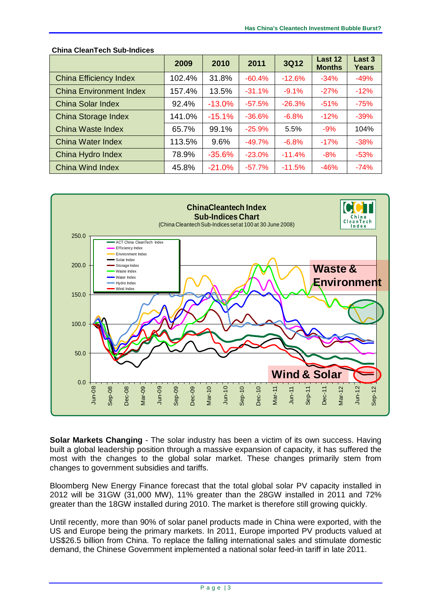|                                | 2009   | 2010     | 2011     | 3Q12     | Last 12<br><b>Months</b> | Last 3<br>Years |
|--------------------------------|--------|----------|----------|----------|--------------------------|-----------------|
| <b>China Efficiency Index</b>  | 102.4% | 31.8%    | $-60.4%$ | $-12.6%$ | $-34%$                   | $-49%$          |
| <b>China Environment Index</b> | 157.4% | 13.5%    | $-31.1%$ | $-9.1%$  | $-27%$                   | $-12%$          |
| China Solar Index              | 92.4%  | $-13.0%$ | $-57.5%$ | $-26.3%$ | $-51%$                   | $-75%$          |
| China Storage Index            | 141.0% | $-15.1%$ | $-36.6%$ | $-6.8%$  | $-12%$                   | $-39%$          |
| <b>China Waste Index</b>       | 65.7%  | 99.1%    | $-25.9%$ | 5.5%     | $-9%$                    | 104%            |
| China Water Index              | 113.5% | 9.6%     | $-49.7%$ | $-6.8%$  | $-17%$                   | $-38%$          |
| China Hydro Index              | 78.9%  | $-35.6%$ | $-23.0%$ | $-11.4%$ | $-8%$                    | $-53%$          |
| China Wind Index               | 45.8%  | $-21.0%$ | $-57.7%$ | $-11.5%$ | $-46%$                   | $-74%$          |





**Solar Markets Changing** - The solar industry has been a victim of its own success. Having built a global leadership position through a massive expansion of capacity, it has suffered the most with the changes to the global solar market. These changes primarily stem from changes to government subsidies and tariffs.

Bloomberg New Energy Finance forecast that the total global solar PV capacity installed in 2012 will be 31GW (31,000 MW), 11% greater than the 28GW installed in 2011 and 72% greater than the 18GW installed during 2010. The market is therefore still growing quickly.

Until recently, more than 90% of solar panel products made in China were exported, with the US and Europe being the primary markets. In 2011, Europe imported PV products valued at US\$26.5 billion from China. To replace the falling international sales and stimulate domestic demand, the Chinese Government implemented a national solar feed-in tariff in late 2011.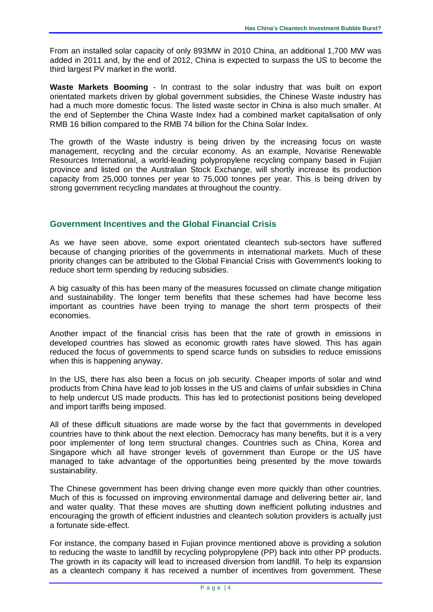From an installed solar capacity of only 893MW in 2010 China, an additional 1,700 MW was added in 2011 and, by the end of 2012, China is expected to surpass the US to become the third largest PV market in the world.

**Waste Markets Booming** - In contrast to the solar industry that was built on export orientated markets driven by global government subsidies, the Chinese Waste industry has had a much more domestic focus. The listed waste sector in China is also much smaller. At the end of September the China Waste Index had a combined market capitalisation of only RMB 16 billion compared to the RMB 74 billion for the China Solar Index.

The growth of the Waste industry is being driven by the increasing focus on waste management, recycling and the circular economy. As an example, Novarise Renewable Resources International, a world-leading polypropylene recycling company based in Fujian province and listed on the Australian Stock Exchange, will shortly increase its production capacity from 25,000 tonnes per year to 75,000 tonnes per year. This is being driven by strong government recycling mandates at throughout the country.

# **Government Incentives and the Global Financial Crisis**

As we have seen above, some export orientated cleantech sub-sectors have suffered because of changing priorities of the governments in international markets. Much of these priority changes can be attributed to the Global Financial Crisis with Government's looking to reduce short term spending by reducing subsidies.

A big casualty of this has been many of the measures focussed on climate change mitigation and sustainability. The longer term benefits that these schemes had have become less important as countries have been trying to manage the short term prospects of their economies.

Another impact of the financial crisis has been that the rate of growth in emissions in developed countries has slowed as economic growth rates have slowed. This has again reduced the focus of governments to spend scarce funds on subsidies to reduce emissions when this is happening anyway.

In the US, there has also been a focus on job security. Cheaper imports of solar and wind products from China have lead to job losses in the US and claims of unfair subsidies in China to help undercut US made products. This has led to protectionist positions being developed and import tariffs being imposed.

All of these difficult situations are made worse by the fact that governments in developed countries have to think about the next election. Democracy has many benefits, but it is a very poor implementer of long term structural changes. Countries such as China, Korea and Singapore which all have stronger levels of government than Europe or the US have managed to take advantage of the opportunities being presented by the move towards sustainability.

The Chinese government has been driving change even more quickly than other countries. Much of this is focussed on improving environmental damage and delivering better air, land and water quality. That these moves are shutting down inefficient polluting industries and encouraging the growth of efficient industries and cleantech solution providers is actually just a fortunate side-effect.

For instance, the company based in Fujian province mentioned above is providing a solution to reducing the waste to landfill by recycling polypropylene (PP) back into other PP products. The growth in its capacity will lead to increased diversion from landfill. To help its expansion as a cleantech company it has received a number of incentives from government. These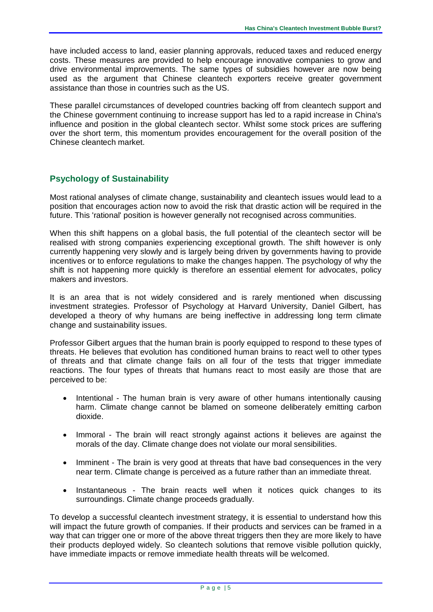have included access to land, easier planning approvals, reduced taxes and reduced energy costs. These measures are provided to help encourage innovative companies to grow and drive environmental improvements. The same types of subsidies however are now being used as the argument that Chinese cleantech exporters receive greater government assistance than those in countries such as the US.

These parallel circumstances of developed countries backing off from cleantech support and the Chinese government continuing to increase support has led to a rapid increase in China's influence and position in the global cleantech sector. Whilst some stock prices are suffering over the short term, this momentum provides encouragement for the overall position of the Chinese cleantech market.

# **Psychology of Sustainability**

Most rational analyses of climate change, sustainability and cleantech issues would lead to a position that encourages action now to avoid the risk that drastic action will be required in the future. This 'rational' position is however generally not recognised across communities.

When this shift happens on a global basis, the full potential of the cleantech sector will be realised with strong companies experiencing exceptional growth. The shift however is only currently happening very slowly and is largely being driven by governments having to provide incentives or to enforce regulations to make the changes happen. The psychology of why the shift is not happening more quickly is therefore an essential element for advocates, policy makers and investors.

It is an area that is not widely considered and is rarely mentioned when discussing investment strategies. Professor of Psychology at Harvard University, Daniel Gilbert, has developed a theory of why humans are being ineffective in addressing long term climate change and sustainability issues.

Professor Gilbert argues that the human brain is poorly equipped to respond to these types of threats. He believes that evolution has conditioned human brains to react well to other types of threats and that climate change fails on all four of the tests that trigger immediate reactions. The four types of threats that humans react to most easily are those that are perceived to be:

- Intentional The human brain is very aware of other humans intentionally causing harm. Climate change cannot be blamed on someone deliberately emitting carbon dioxide.
- Immoral The brain will react strongly against actions it believes are against the morals of the day. Climate change does not violate our moral sensibilities.
- Imminent The brain is very good at threats that have bad consequences in the very near term. Climate change is perceived as a future rather than an immediate threat.
- Instantaneous The brain reacts well when it notices quick changes to its surroundings. Climate change proceeds gradually.

To develop a successful cleantech investment strategy, it is essential to understand how this will impact the future growth of companies. If their products and services can be framed in a way that can trigger one or more of the above threat triggers then they are more likely to have their products deployed widely. So cleantech solutions that remove visible pollution quickly, have immediate impacts or remove immediate health threats will be welcomed.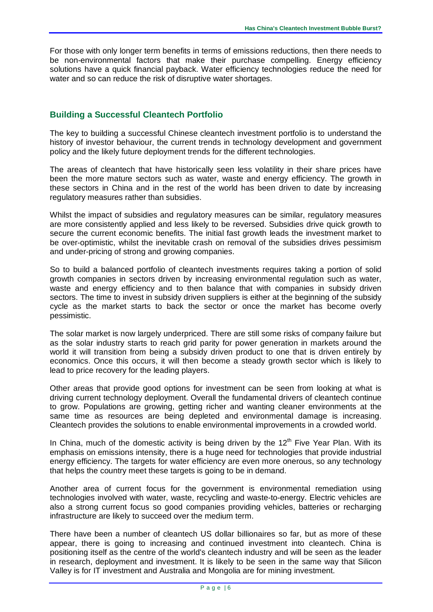For those with only longer term benefits in terms of emissions reductions, then there needs to be non-environmental factors that make their purchase compelling. Energy efficiency solutions have a quick financial payback. Water efficiency technologies reduce the need for water and so can reduce the risk of disruptive water shortages.

### **Building a Successful Cleantech Portfolio**

The key to building a successful Chinese cleantech investment portfolio is to understand the history of investor behaviour, the current trends in technology development and government policy and the likely future deployment trends for the different technologies.

The areas of cleantech that have historically seen less volatility in their share prices have been the more mature sectors such as water, waste and energy efficiency. The growth in these sectors in China and in the rest of the world has been driven to date by increasing regulatory measures rather than subsidies.

Whilst the impact of subsidies and regulatory measures can be similar, regulatory measures are more consistently applied and less likely to be reversed. Subsidies drive quick growth to secure the current economic benefits. The initial fast growth leads the investment market to be over-optimistic, whilst the inevitable crash on removal of the subsidies drives pessimism and under-pricing of strong and growing companies.

So to build a balanced portfolio of cleantech investments requires taking a portion of solid growth companies in sectors driven by increasing environmental regulation such as water, waste and energy efficiency and to then balance that with companies in subsidy driven sectors. The time to invest in subsidy driven suppliers is either at the beginning of the subsidy cycle as the market starts to back the sector or once the market has become overly pessimistic.

The solar market is now largely underpriced. There are still some risks of company failure but as the solar industry starts to reach grid parity for power generation in markets around the world it will transition from being a subsidy driven product to one that is driven entirely by economics. Once this occurs, it will then become a steady growth sector which is likely to lead to price recovery for the leading players.

Other areas that provide good options for investment can be seen from looking at what is driving current technology deployment. Overall the fundamental drivers of cleantech continue to grow. Populations are growing, getting richer and wanting cleaner environments at the same time as resources are being depleted and environmental damage is increasing. Cleantech provides the solutions to enable environmental improvements in a crowded world.

In China, much of the domestic activity is being driven by the  $12<sup>th</sup>$  Five Year Plan. With its emphasis on emissions intensity, there is a huge need for technologies that provide industrial energy efficiency. The targets for water efficiency are even more onerous, so any technology that helps the country meet these targets is going to be in demand.

Another area of current focus for the government is environmental remediation using technologies involved with water, waste, recycling and waste-to-energy. Electric vehicles are also a strong current focus so good companies providing vehicles, batteries or recharging infrastructure are likely to succeed over the medium term.

There have been a number of cleantech US dollar billionaires so far, but as more of these appear, there is going to increasing and continued investment into cleantech. China is positioning itself as the centre of the world's cleantech industry and will be seen as the leader in research, deployment and investment. It is likely to be seen in the same way that Silicon Valley is for IT investment and Australia and Mongolia are for mining investment.